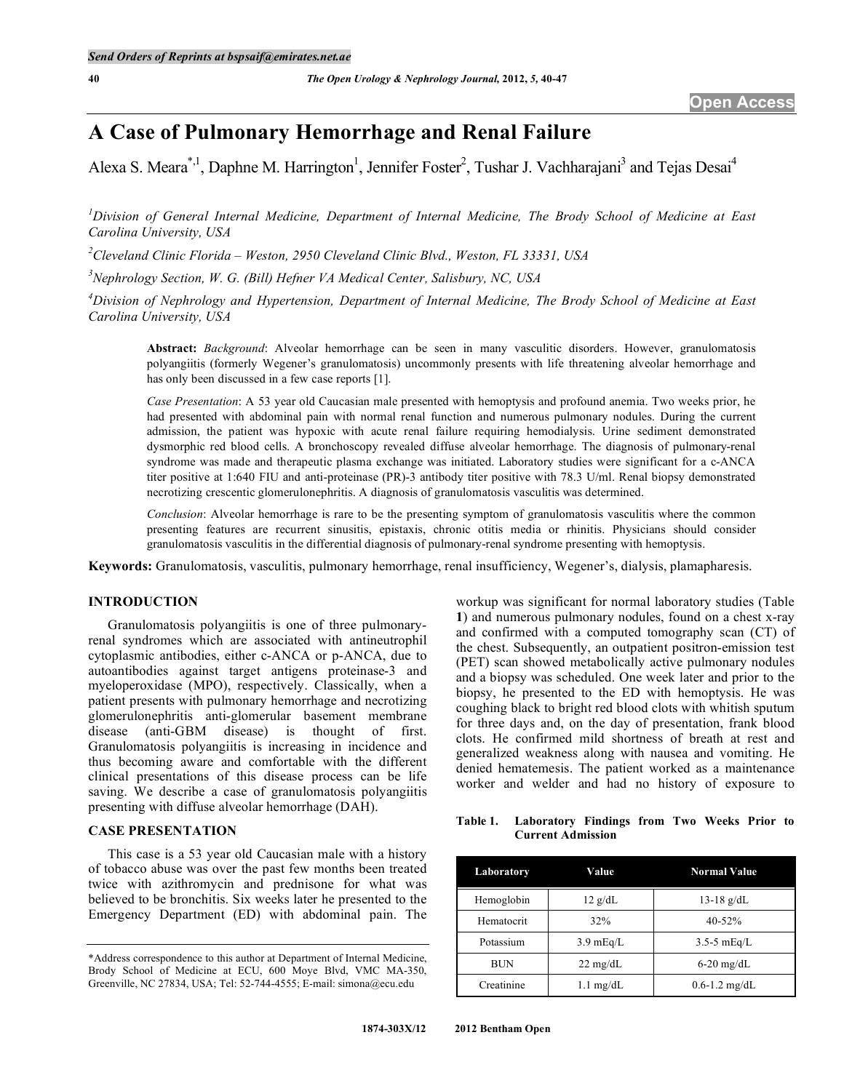# **A Case of Pulmonary Hemorrhage and Renal Failure**

Alexa S. Meara<sup>\*, 1</sup>, Daphne M. Harrington<sup>1</sup>, Jennifer Foster<sup>2</sup>, Tushar J. Vachharajani<sup>3</sup> and Tejas Desai<sup>4</sup>

<sup>1</sup> Division of General Internal Medicine, Department of Internal Medicine, The Brody School of Medicine at East *Carolina University, USA*

*2 Cleveland Clinic Florida – Weston, 2950 Cleveland Clinic Blvd., Weston, FL 33331, USA*

*3 Nephrology Section, W. G. (Bill) Hefner VA Medical Center, Salisbury, NC, USA*

*4 Division of Nephrology and Hypertension, Department of Internal Medicine, The Brody School of Medicine at East Carolina University, USA*

**Abstract:** *Background*: Alveolar hemorrhage can be seen in many vasculitic disorders. However, granulomatosis polyangiitis (formerly Wegener's granulomatosis) uncommonly presents with life threatening alveolar hemorrhage and has only been discussed in a few case reports [1].

*Case Presentation*: A 53 year old Caucasian male presented with hemoptysis and profound anemia. Two weeks prior, he had presented with abdominal pain with normal renal function and numerous pulmonary nodules. During the current admission, the patient was hypoxic with acute renal failure requiring hemodialysis. Urine sediment demonstrated dysmorphic red blood cells. A bronchoscopy revealed diffuse alveolar hemorrhage. The diagnosis of pulmonary-renal syndrome was made and therapeutic plasma exchange was initiated. Laboratory studies were significant for a c-ANCA titer positive at 1:640 FIU and anti-proteinase (PR)-3 antibody titer positive with 78.3 U/ml. Renal biopsy demonstrated necrotizing crescentic glomerulonephritis. A diagnosis of granulomatosis vasculitis was determined.

*Conclusion*: Alveolar hemorrhage is rare to be the presenting symptom of granulomatosis vasculitis where the common presenting features are recurrent sinusitis, epistaxis, chronic otitis media or rhinitis. Physicians should consider granulomatosis vasculitis in the differential diagnosis of pulmonary-renal syndrome presenting with hemoptysis.

**Keywords:** Granulomatosis, vasculitis, pulmonary hemorrhage, renal insufficiency, Wegener's, dialysis, plamapharesis.

# **INTRODUCTION**

Granulomatosis polyangiitis is one of three pulmonaryrenal syndromes which are associated with antineutrophil cytoplasmic antibodies, either c-ANCA or p-ANCA, due to autoantibodies against target antigens proteinase-3 and myeloperoxidase (MPO), respectively. Classically, when a patient presents with pulmonary hemorrhage and necrotizing glomerulonephritis anti-glomerular basement membrane disease (anti-GBM disease) is thought of first. Granulomatosis polyangiitis is increasing in incidence and thus becoming aware and comfortable with the different clinical presentations of this disease process can be life saving. We describe a case of granulomatosis polyangiitis presenting with diffuse alveolar hemorrhage (DAH).

## **CASE PRESENTATION**

This case is a 53 year old Caucasian male with a history of tobacco abuse was over the past few months been treated twice with azithromycin and prednisone for what was believed to be bronchitis. Six weeks later he presented to the Emergency Department (ED) with abdominal pain. The workup was significant for normal laboratory studies (Table **1**) and numerous pulmonary nodules, found on a chest x-ray and confirmed with a computed tomography scan (CT) of the chest. Subsequently, an outpatient positron-emission test (PET) scan showed metabolically active pulmonary nodules and a biopsy was scheduled. One week later and prior to the biopsy, he presented to the ED with hemoptysis. He was coughing black to bright red blood clots with whitish sputum for three days and, on the day of presentation, frank blood clots. He confirmed mild shortness of breath at rest and generalized weakness along with nausea and vomiting. He denied hematemesis. The patient worked as a maintenance worker and welder and had no history of exposure to

### **Table 1. Laboratory Findings from Two Weeks Prior to Current Admission**

| Laboratory | Value               | <b>Normal Value</b> |  |
|------------|---------------------|---------------------|--|
| Hemoglobin | $12 \text{ g/dL}$   | $13-18$ g/dL        |  |
| Hematocrit | 32%                 | 40-52%              |  |
| Potassium  | $3.9 \text{ mEq/L}$ | $3.5 - 5$ mEg/L     |  |
| <b>BUN</b> | $22 \text{ mg/dL}$  | $6-20$ mg/dL        |  |
| Creatinine | $1.1 \text{ mg/dL}$ | $0.6 - 1.2$ mg/dL   |  |

<sup>\*</sup>Address correspondence to this author at Department of Internal Medicine, Brody School of Medicine at ECU, 600 Moye Blvd, VMC MA-350, Greenville, NC 27834, USA; Tel: 52-744-4555; E-mail: simona@ecu.edu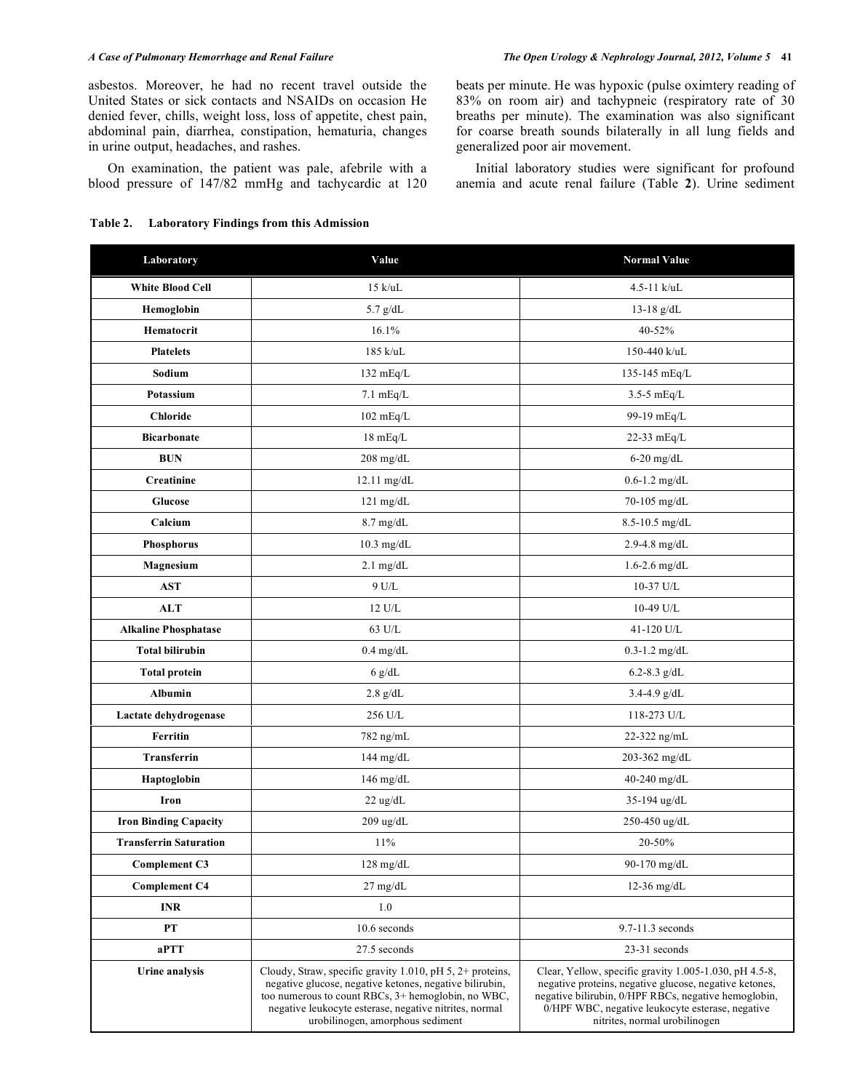asbestos. Moreover, he had no recent travel outside the United States or sick contacts and NSAIDs on occasion He denied fever, chills, weight loss, loss of appetite, chest pain, abdominal pain, diarrhea, constipation, hematuria, changes in urine output, headaches, and rashes.

On examination, the patient was pale, afebrile with a blood pressure of 147/82 mmHg and tachycardic at 120

### **Table 2. Laboratory Findings from this Admission**

beats per minute. He was hypoxic (pulse oximtery reading of 83% on room air) and tachypneic (respiratory rate of 30 breaths per minute). The examination was also significant for coarse breath sounds bilaterally in all lung fields and generalized poor air movement.

Initial laboratory studies were significant for profound anemia and acute renal failure (Table **2**). Urine sediment

| Laboratory                    | Value                                                                                                                                                                                                                                                                    | <b>Normal Value</b>                                                                                                                                                                                                                                           |  |
|-------------------------------|--------------------------------------------------------------------------------------------------------------------------------------------------------------------------------------------------------------------------------------------------------------------------|---------------------------------------------------------------------------------------------------------------------------------------------------------------------------------------------------------------------------------------------------------------|--|
| <b>White Blood Cell</b>       | $15 \text{ k/uL}$                                                                                                                                                                                                                                                        | $4.5 - 11$ k/uL                                                                                                                                                                                                                                               |  |
| Hemoglobin                    | $5.7$ g/dL                                                                                                                                                                                                                                                               | 13-18 $g/dL$                                                                                                                                                                                                                                                  |  |
| Hematocrit                    | 16.1%                                                                                                                                                                                                                                                                    | 40-52%                                                                                                                                                                                                                                                        |  |
| <b>Platelets</b>              | 185 k/uL                                                                                                                                                                                                                                                                 | 150-440 k/uL                                                                                                                                                                                                                                                  |  |
| Sodium                        | 132 mEq/L                                                                                                                                                                                                                                                                | 135-145 mEq/L                                                                                                                                                                                                                                                 |  |
| Potassium                     | $7.1 \text{ mEq/L}$                                                                                                                                                                                                                                                      | $3.5-5$ mEq/L                                                                                                                                                                                                                                                 |  |
| <b>Chloride</b>               | $102 \text{ mEq/L}$                                                                                                                                                                                                                                                      | 99-19 mEq/L                                                                                                                                                                                                                                                   |  |
| <b>Bicarbonate</b>            | $18 \text{ mEq/L}$                                                                                                                                                                                                                                                       | 22-33 mEq/L                                                                                                                                                                                                                                                   |  |
| <b>BUN</b>                    | $208$ mg/dL                                                                                                                                                                                                                                                              | $6-20$ mg/dL                                                                                                                                                                                                                                                  |  |
| Creatinine                    | 12.11 mg/dL                                                                                                                                                                                                                                                              | $0.6 - 1.2$ mg/dL                                                                                                                                                                                                                                             |  |
| Glucose                       | $121 \text{ mg/dL}$                                                                                                                                                                                                                                                      | 70-105 mg/dL                                                                                                                                                                                                                                                  |  |
| Calcium                       | $8.7$ mg/dL                                                                                                                                                                                                                                                              | 8.5-10.5 mg/dL                                                                                                                                                                                                                                                |  |
| Phosphorus                    | $10.3$ mg/dL                                                                                                                                                                                                                                                             | $2.9 - 4.8$ mg/dL                                                                                                                                                                                                                                             |  |
| Magnesium                     | $2.1$ mg/dL                                                                                                                                                                                                                                                              | $1.6 - 2.6$ mg/dL                                                                                                                                                                                                                                             |  |
| <b>AST</b>                    | $9$ U/L                                                                                                                                                                                                                                                                  | 10-37 U/L                                                                                                                                                                                                                                                     |  |
| <b>ALT</b>                    | 12 U/L                                                                                                                                                                                                                                                                   | 10-49 U/L                                                                                                                                                                                                                                                     |  |
| <b>Alkaline Phosphatase</b>   | 63 U/L                                                                                                                                                                                                                                                                   | 41-120 U/L                                                                                                                                                                                                                                                    |  |
| <b>Total bilirubin</b>        | $0.4$ mg/dL                                                                                                                                                                                                                                                              | $0.3 - 1.2$ mg/dL                                                                                                                                                                                                                                             |  |
| <b>Total protein</b>          | $6$ g/dL                                                                                                                                                                                                                                                                 | 6.2-8.3 $g/dL$                                                                                                                                                                                                                                                |  |
| Albumin                       | $2.8~\mathrm{g}/\mathrm{d}L$                                                                                                                                                                                                                                             | $3.4 - 4.9$ g/dL                                                                                                                                                                                                                                              |  |
| Lactate dehydrogenase         | 256 U/L                                                                                                                                                                                                                                                                  | 118-273 U/L                                                                                                                                                                                                                                                   |  |
| Ferritin                      | 782 ng/mL                                                                                                                                                                                                                                                                | 22-322 ng/mL                                                                                                                                                                                                                                                  |  |
| Transferrin                   | $144$ mg/dL                                                                                                                                                                                                                                                              | 203-362 mg/dL                                                                                                                                                                                                                                                 |  |
| Haptoglobin                   | $146$ mg/dL                                                                                                                                                                                                                                                              | 40-240 mg/dL                                                                                                                                                                                                                                                  |  |
| Iron                          | $22$ ug/dL                                                                                                                                                                                                                                                               | 35-194 ug/dL                                                                                                                                                                                                                                                  |  |
| <b>Iron Binding Capacity</b>  | 209 ug/dL                                                                                                                                                                                                                                                                | 250-450 ug/dL                                                                                                                                                                                                                                                 |  |
| <b>Transferrin Saturation</b> | 11%                                                                                                                                                                                                                                                                      | 20-50%                                                                                                                                                                                                                                                        |  |
| Complement C3                 | $128$ mg/dL                                                                                                                                                                                                                                                              | 90-170 mg/dL                                                                                                                                                                                                                                                  |  |
| <b>Complement C4</b>          | $27 \text{ mg/dL}$                                                                                                                                                                                                                                                       | $12-36$ mg/dL                                                                                                                                                                                                                                                 |  |
| <b>INR</b>                    | 1.0                                                                                                                                                                                                                                                                      |                                                                                                                                                                                                                                                               |  |
| <b>PT</b>                     | 10.6 seconds                                                                                                                                                                                                                                                             | 9.7-11.3 seconds                                                                                                                                                                                                                                              |  |
| aPTT                          | 27.5 seconds                                                                                                                                                                                                                                                             | 23-31 seconds                                                                                                                                                                                                                                                 |  |
| Urine analysis                | Cloudy, Straw, specific gravity 1.010, pH 5, 2+ proteins,<br>negative glucose, negative ketones, negative bilirubin,<br>too numerous to count RBCs, 3+ hemoglobin, no WBC,<br>negative leukocyte esterase, negative nitrites, normal<br>urobilinogen, amorphous sediment | Clear, Yellow, specific gravity 1.005-1.030, pH 4.5-8,<br>negative proteins, negative glucose, negative ketones,<br>negative bilirubin, 0/HPF RBCs, negative hemoglobin,<br>0/HPF WBC, negative leukocyte esterase, negative<br>nitrites, normal urobilinogen |  |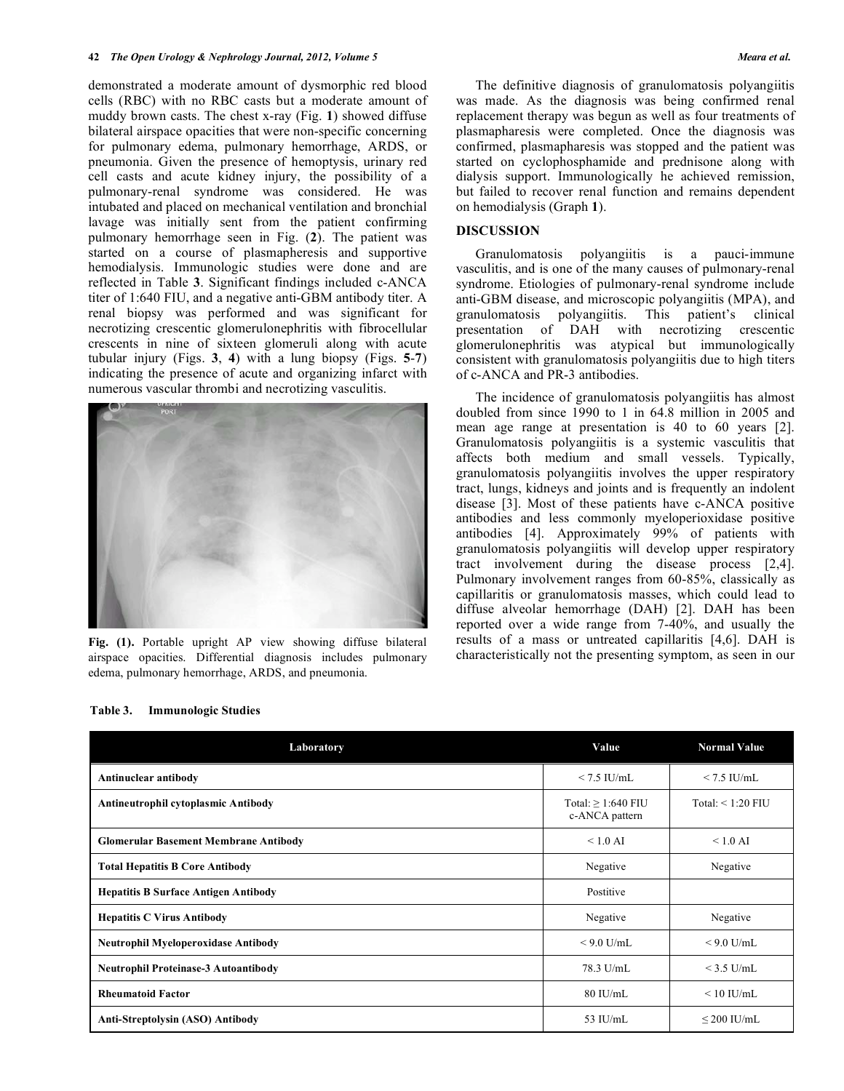#### **42** *The Open Urology & Nephrology Journal, 2012, Volume 5 Meara et al.*

demonstrated a moderate amount of dysmorphic red blood cells (RBC) with no RBC casts but a moderate amount of muddy brown casts. The chest x-ray (Fig. **1**) showed diffuse bilateral airspace opacities that were non-specific concerning for pulmonary edema, pulmonary hemorrhage, ARDS, or pneumonia. Given the presence of hemoptysis, urinary red cell casts and acute kidney injury, the possibility of a pulmonary-renal syndrome was considered. He was intubated and placed on mechanical ventilation and bronchial lavage was initially sent from the patient confirming pulmonary hemorrhage seen in Fig. (**2**). The patient was started on a course of plasmapheresis and supportive hemodialysis. Immunologic studies were done and are reflected in Table **3**. Significant findings included c-ANCA titer of 1:640 FIU, and a negative anti-GBM antibody titer. A renal biopsy was performed and was significant for necrotizing crescentic glomerulonephritis with fibrocellular crescents in nine of sixteen glomeruli along with acute tubular injury (Figs. **3**, **4**) with a lung biopsy (Figs. **5**-**7**) indicating the presence of acute and organizing infarct with numerous vascular thrombi and necrotizing vasculitis.



**Fig. (1).** Portable upright AP view showing diffuse bilateral airspace opacities. Differential diagnosis includes pulmonary edema, pulmonary hemorrhage, ARDS, and pneumonia.

The definitive diagnosis of granulomatosis polyangiitis was made. As the diagnosis was being confirmed renal replacement therapy was begun as well as four treatments of plasmapharesis were completed. Once the diagnosis was confirmed, plasmapharesis was stopped and the patient was started on cyclophosphamide and prednisone along with dialysis support. Immunologically he achieved remission, but failed to recover renal function and remains dependent on hemodialysis (Graph **1**).

# **DISCUSSION**

Granulomatosis polyangiitis is a pauci-immune vasculitis, and is one of the many causes of pulmonary-renal syndrome. Etiologies of pulmonary-renal syndrome include anti-GBM disease, and microscopic polyangiitis (MPA), and granulomatosis polyangiitis. This patient's clinical presentation of DAH with necrotizing crescentic glomerulonephritis was atypical but immunologically consistent with granulomatosis polyangiitis due to high titers of c-ANCA and PR-3 antibodies.

The incidence of granulomatosis polyangiitis has almost doubled from since 1990 to 1 in 64.8 million in 2005 and mean age range at presentation is 40 to 60 years [2]. Granulomatosis polyangiitis is a systemic vasculitis that affects both medium and small vessels. Typically, granulomatosis polyangiitis involves the upper respiratory tract, lungs, kidneys and joints and is frequently an indolent disease [3]. Most of these patients have c-ANCA positive antibodies and less commonly myeloperioxidase positive antibodies [4]. Approximately 99% of patients with granulomatosis polyangiitis will develop upper respiratory tract involvement during the disease process [2,4]. Pulmonary involvement ranges from 60-85%, classically as capillaritis or granulomatosis masses, which could lead to diffuse alveolar hemorrhage (DAH) [2]. DAH has been reported over a wide range from 7-40%, and usually the results of a mass or untreated capillaritis [4,6]. DAH is characteristically not the presenting symptom, as seen in our

| Laboratory                                   | Value                                     | <b>Normal Value</b>    |
|----------------------------------------------|-------------------------------------------|------------------------|
| Antinuclear antibody                         | $< 7.5$ IU/mL                             | $< 7.5$ IU/mL          |
| Antineutrophil cytoplasmic Antibody          | Total: $\geq$ 1:640 FIU<br>c-ANCA pattern | Total: $\leq 1:20$ FIU |
| <b>Glomerular Basement Membrane Antibody</b> | $\leq 1.0$ AI                             | $< 1.0$ AI             |
| <b>Total Hepatitis B Core Antibody</b>       | Negative                                  | Negative               |
| <b>Hepatitis B Surface Antigen Antibody</b>  | Postitive                                 |                        |
| <b>Hepatitis C Virus Antibody</b>            | Negative                                  | Negative               |
| <b>Neutrophil Myeloperoxidase Antibody</b>   | $<$ 9.0 U/mL                              | $<$ 9.0 U/mL           |
| <b>Neutrophil Proteinase-3 Autoantibody</b>  | 78.3 U/mL                                 | $<$ 3.5 U/mL           |
| <b>Rheumatoid Factor</b>                     | $80$ IU/mL                                | $\leq 10$ IU/mL        |
| Anti-Streptolysin (ASO) Antibody             | 53 IU/mL                                  | $\leq$ 200 IU/mL       |

**Table 3. Immunologic Studies**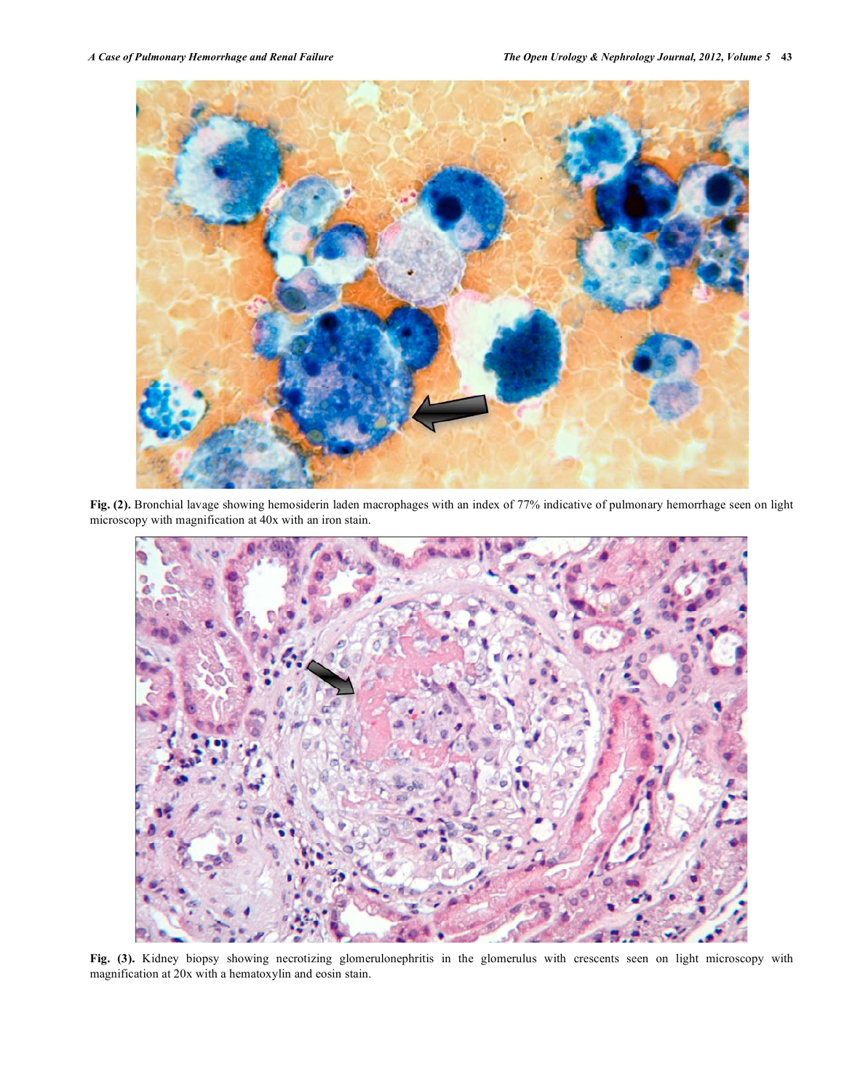

**Fig. (2).** Bronchial lavage showing hemosiderin laden macrophages with an index of 77% indicative of pulmonary hemorrhage seen on light microscopy with magnification at 40x with an iron stain.



**Fig. (3).** Kidney biopsy showing necrotizing glomerulonephritis in the glomerulus with crescents seen on light microscopy with magnification at 20x with a hematoxylin and eosin stain.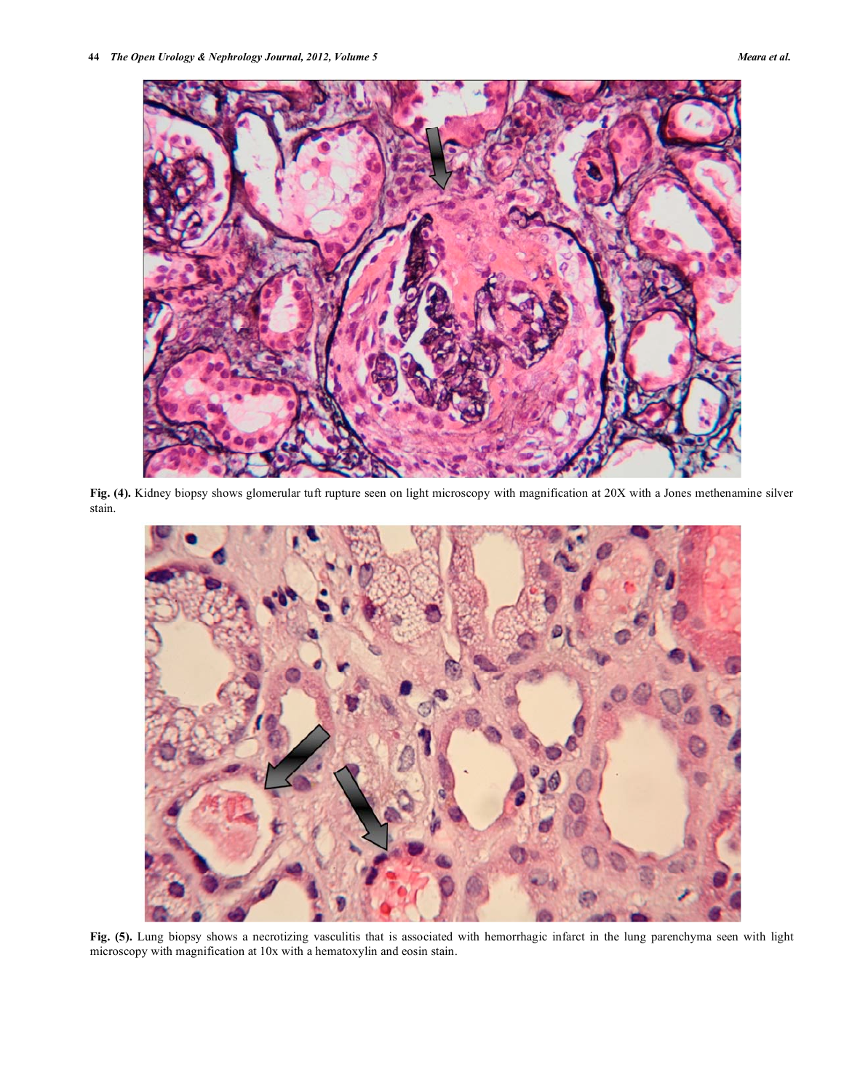

**Fig. (4).** Kidney biopsy shows glomerular tuft rupture seen on light microscopy with magnification at 20X with a Jones methenamine silver stain.



Fig. (5). Lung biopsy shows a necrotizing vasculitis that is associated with hemorrhagic infarct in the lung parenchyma seen with light microscopy with magnification at 10x with a hematoxylin and eosin stain.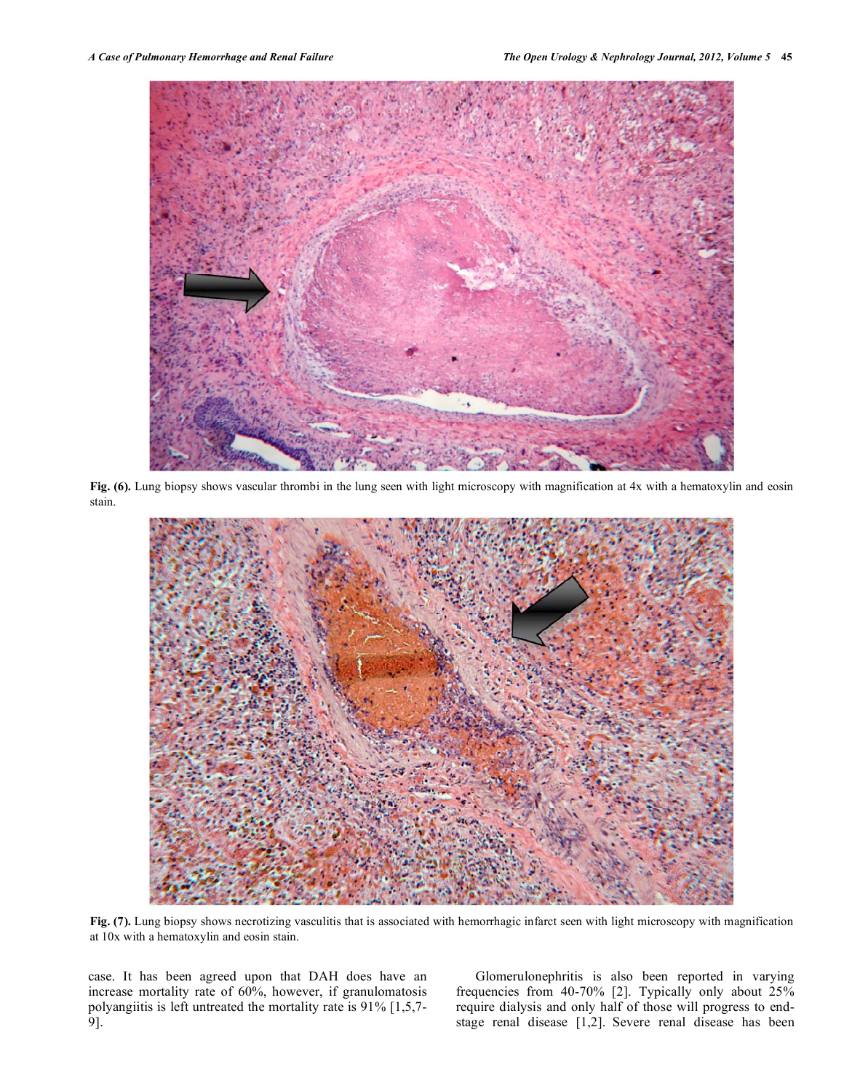

**Fig. (6).** Lung biopsy shows vascular thrombi in the lung seen with light microscopy with magnification at 4x with a hematoxylin and eosin stain.



**Fig. (7).** Lung biopsy shows necrotizing vasculitis that is associated with hemorrhagic infarct seen with light microscopy with magnification at 10x with a hematoxylin and eosin stain.

case. It has been agreed upon that DAH does have an increase mortality rate of 60%, however, if granulomatosis polyangiitis is left untreated the mortality rate is 91% [1,5,7- 9].

Glomerulonephritis is also been reported in varying frequencies from 40-70% [2]. Typically only about 25% require dialysis and only half of those will progress to endstage renal disease [1,2]. Severe renal disease has been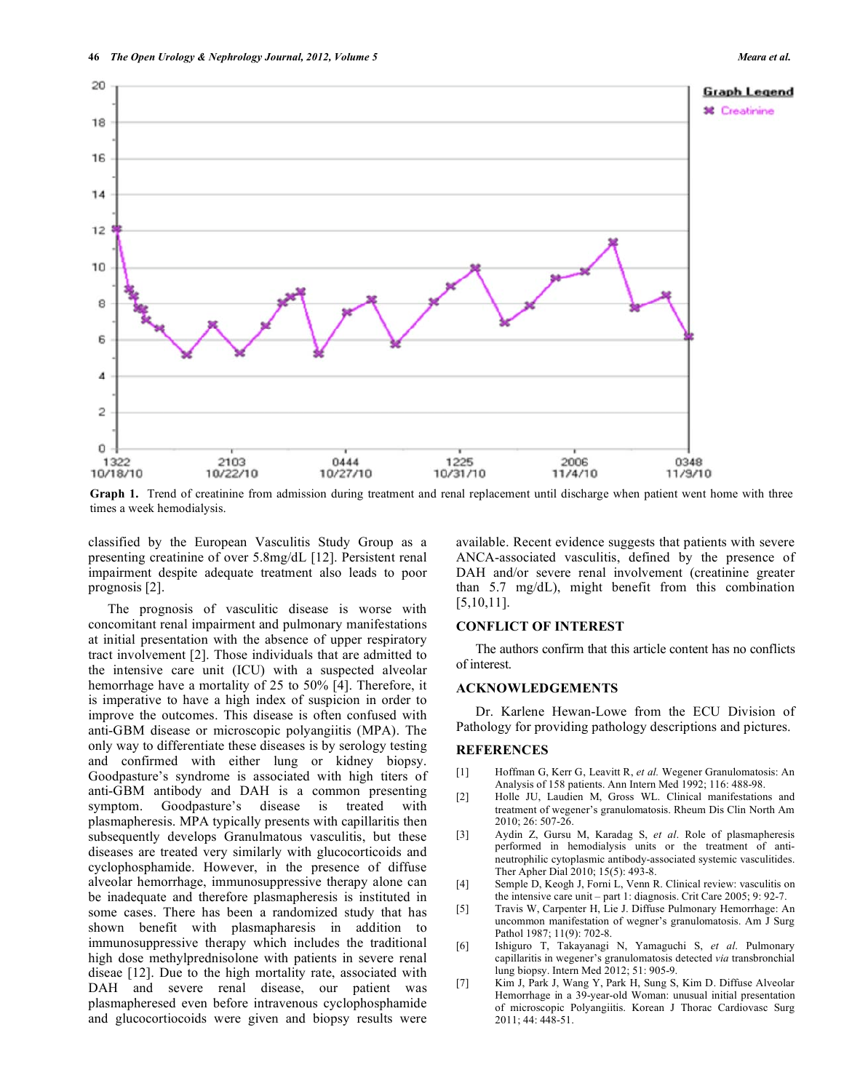

**Graph 1.** Trend of creatinine from admission during treatment and renal replacement until discharge when patient went home with three times a week hemodialysis.

classified by the European Vasculitis Study Group as a presenting creatinine of over 5.8mg/dL [12]. Persistent renal impairment despite adequate treatment also leads to poor prognosis [2].

The prognosis of vasculitic disease is worse with concomitant renal impairment and pulmonary manifestations at initial presentation with the absence of upper respiratory tract involvement [2]. Those individuals that are admitted to the intensive care unit (ICU) with a suspected alveolar hemorrhage have a mortality of 25 to 50% [4]. Therefore, it is imperative to have a high index of suspicion in order to improve the outcomes. This disease is often confused with anti-GBM disease or microscopic polyangiitis (MPA). The only way to differentiate these diseases is by serology testing and confirmed with either lung or kidney biopsy. Goodpasture's syndrome is associated with high titers of anti-GBM antibody and DAH is a common presenting symptom. Goodpasture's disease is treated with plasmapheresis. MPA typically presents with capillaritis then subsequently develops Granulmatous vasculitis, but these diseases are treated very similarly with glucocorticoids and cyclophosphamide. However, in the presence of diffuse alveolar hemorrhage, immunosuppressive therapy alone can be inadequate and therefore plasmapheresis is instituted in some cases. There has been a randomized study that has shown benefit with plasmapharesis in addition to immunosuppressive therapy which includes the traditional high dose methylprednisolone with patients in severe renal diseae [12]. Due to the high mortality rate, associated with DAH and severe renal disease, our patient was plasmapheresed even before intravenous cyclophosphamide and glucocortiocoids were given and biopsy results were

available. Recent evidence suggests that patients with severe ANCA-associated vasculitis, defined by the presence of DAH and/or severe renal involvement (creatinine greater than 5.7 mg/dL), might benefit from this combination [5,10,11].

### **CONFLICT OF INTEREST**

The authors confirm that this article content has no conflicts of interest.

# **ACKNOWLEDGEMENTS**

Dr. Karlene Hewan-Lowe from the ECU Division of Pathology for providing pathology descriptions and pictures.

## **REFERENCES**

- [1] Hoffman G, Kerr G, Leavitt R, *et al.* Wegener Granulomatosis: An Analysis of 158 patients. Ann Intern Med 1992; 116: 488-98.
- [2] Holle JU, Laudien M, Gross WL. Clinical manifestations and treatment of wegener's granulomatosis. Rheum Dis Clin North Am 2010; 26: 507-26.
- [3] Aydin Z, Gursu M, Karadag S, *et al*. Role of plasmapheresis performed in hemodialysis units or the treatment of antineutrophilic cytoplasmic antibody-associated systemic vasculitides. Ther Apher Dial 2010; 15(5): 493-8.
- [4] Semple D, Keogh J, Forni L, Venn R. Clinical review: vasculitis on the intensive care unit – part 1: diagnosis. Crit Care 2005; 9: 92-7.
- [5] Travis W, Carpenter H, Lie J. Diffuse Pulmonary Hemorrhage: An uncommon manifestation of wegner's granulomatosis. Am J Surg Pathol 1987; 11(9): 702-8.
- [6] Ishiguro T, Takayanagi N, Yamaguchi S, *et al*. Pulmonary capillaritis in wegener's granulomatosis detected *via* transbronchial lung biopsy. Intern Med 2012; 51: 905-9.
- [7] Kim J, Park J, Wang Y, Park H, Sung S, Kim D. Diffuse Alveolar Hemorrhage in a 39-year-old Woman: unusual initial presentation of microscopic Polyangiitis. Korean J Thorac Cardiovasc Surg 2011; 44: 448-51.